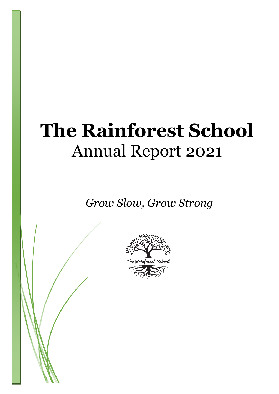# **The Rainforest School** Annual Report 2021

*Grow Slow, Grow Strong*

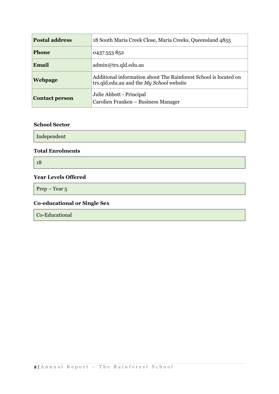| <b>Postal address</b> | 18 South Maria Creek Close, Maria Creeks, Queensland 4855                                                    |
|-----------------------|--------------------------------------------------------------------------------------------------------------|
| <b>Phone</b>          | 0437 553 852                                                                                                 |
| Email                 | admin@trs.qld.edu.au                                                                                         |
| <b>Webpage</b>        | Additional information about The Rainforest School is located on<br>trs.qld.edu.au and the My School website |
| <b>Contact person</b> | Julie Abbott - Principal<br>Carolien Franken - Business Manager                                              |

# **School Sector**

Independent

## **Total Enrolments**

18

# **Year Levels Offered**

Prep – Year 5

# **Co-educational or Single Sex**

Co-Educational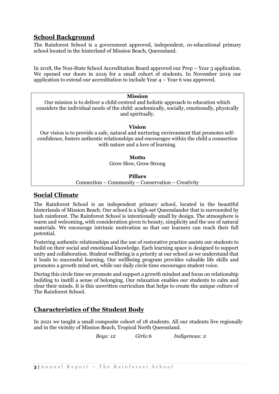# **School Background**

The Rainforest School is a government approved, independent, co-educational primary school located in the hinterland of Mission Beach, Queensland.

In 2018, the Non-State School Accreditation Board approved our Prep – Year 3 application. We opened our doors in 2019 for a small cohort of students. In November 2019 our application to extend our accreditation to include Year 4 – Year 6 was approved.

| <b>Mission</b><br>Our mission is to deliver a child-centred and holistic approach to education which<br>considers the individual needs of the child: academically, socially, emotionally, physically<br>and spiritually.            |  |  |
|-------------------------------------------------------------------------------------------------------------------------------------------------------------------------------------------------------------------------------------|--|--|
| Vision<br>Our vision is to provide a safe, natural and nurturing environment that promotes self-<br>confidence, fosters authentic relationships and encourages within the child a connection<br>with nature and a love of learning. |  |  |
| Motto<br>Grow Slow, Grow Strong                                                                                                                                                                                                     |  |  |
| Pillars                                                                                                                                                                                                                             |  |  |

# Connection – Community – Conservation – Creativity

# **Social Climate**

The Rainforest School is an independent primary school, located in the beautiful hinterlands of Mission Beach. Our school is a high-set Queenslander that is surrounded by lush rainforest. The Rainforest School is intentionally small by design. The atmosphere is warm and welcoming, with consideration given to beauty, simplicity and the use of natural materials. We encourage intrinsic motivation so that our learners can reach their full potential.

Fostering authentic relationships and the use of restorative practice assists our students to build on their social and emotional knowledge. Each learning space is designed to support unity and collaboration. Student wellbeing is a priority at our school as we understand that it leads to successful learning. Our wellbeing program provides valuable life skills and promotes a growth mind set, while our daily circle time encourages student voice.

During this circle time we promote and support a growth mindset and focus on relationship building to instill a sense of belonging. Our relaxation enables our students to calm and clear their minds. It is this unwritten curriculum that helps to create the unique culture of The Rainforest School.

# **Characteristics of the Student Body**

In 2021 we taught a small composite cohort of 18 students. All our students live regionally and in the vicinity of Mission Beach, Tropical North Queensland.

 *Boys: 12 Girls:6 Indigenous: 2*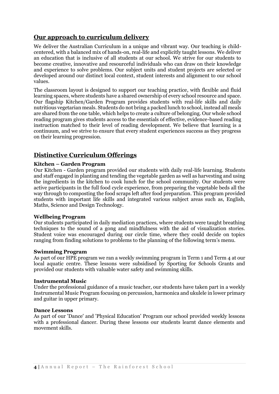# **Our approach to curriculum delivery**

We deliver the Australian Curriculum in a unique and vibrant way. Our teaching is childcentered, with a balanced mix of hands-on, real-life and explicitly taught lessons. We deliver an education that is inclusive of all students at our school. We strive for our students to become creative, innovative and resourceful individuals who can draw on their knowledge and experience to solve problems. Our subject units and student projects are selected or developed around our distinct local context, student interests and alignment to our school values.

The classroom layout is designed to support our teaching practice, with flexible and fluid learning spaces, where students have a shared ownership of every school resource and space. Our flagship Kitchen/Garden Program provides students with real-life skills and daily nutritious vegetarian meals. Students do not bring a packed lunch to school, instead all meals are shared from the one table, which helps to create a culture of belonging. Our whole school reading program gives students access to the essentials of effective, evidence-based reading instruction matched to their level of reading development. We believe that learning is a continuum, and we strive to ensure that every student experiences success as they progress on their learning progression.

# **Distinctive Curriculum Offerings**

# **Kitchen – Garden Program**

Our Kitchen - Garden program provided our students with daily real-life learning. Students and staff engaged in planting and tending the vegetable garden as well as harvesting and using the ingredients in the kitchen to cook lunch for the school community. Our students were active participants in the full food cycle experience, from preparing the vegetable beds all the way through to composting the food scraps left after food preparation. This program provided students with important life skills and integrated various subject areas such as, English, Maths, Science and Design Technology.

## **Wellbeing Program**

Our students participated in daily mediation practices, where students were taught breathing techniques to the sound of a gong and mindfulness with the aid of visualization stories. Student voice was encouraged during our circle time, where they could decide on topics ranging from finding solutions to problems to the planning of the following term's menu.

## **Swimming Program**

As part of our HPE program we ran a weekly swimming program in Term 1 and Term 4 at our local aquatic centre. These lessons were subsidised by Sporting for Schools Grants and provided our students with valuable water safety and swimming skills.

## **Instrumental Music**

Under the professional guidance of a music teacher, our students have taken part in a weekly Instrumental Music Program focusing on percussion, harmonica and ukulele in lower primary and guitar in upper primary.

#### **Dance Lessons**

As part of our 'Dance' and 'Physical Education' Program our school provided weekly lessons with a professional dancer. During these lessons our students learnt dance elements and movement skills.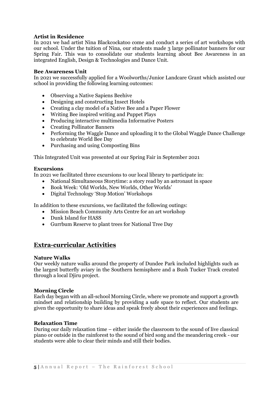## **Artist in Residence**

In 2021 we had artist Nina Blackcockatoo come and conduct a series of art workshops with our school. Under the tuition of Nina, our students made 3 large pollinator banners for our Spring Fair. This was to consolidate our students learning about Bee Awareness in an integrated English, Design & Technologies and Dance Unit.

#### **Bee Awareness Unit**

In 2021 we successfully applied for a Woolworths/Junior Landcare Grant which assisted our school in providing the following learning outcomes:

- Observing a Native Sapiens Beehive
- Designing and constructing Insect Hotels
- Creating a clay model of a Native Bee and a Paper Flower
- Writing Bee inspired writing and Puppet Plays
- Producing interactive multimedia Informative Posters
- Creating Pollinator Banners
- Performing the Waggle Dance and uploading it to the Global Waggle Dance Challenge to celebrate World Bee Day
- Purchasing and using Composting Bins

This Integrated Unit was presented at our Spring Fair in September 2021

#### **Excursions**

In 2021 we facilitated three excursions to our local library to participate in:

- National Simultaneous Storytime: a story read by an astronaut in space
- Book Week: 'Old Worlds, New Worlds, Other Worlds'
- Digital Technology 'Stop Motion' Workshops

In addition to these excursions, we facilitated the following outings:

- Mission Beach Community Arts Centre for an art workshop
- Dunk Island for HASS
- Gurrbum Reserve to plant trees for National Tree Day

# **Extra-curricular Activities**

#### **Nature Walks**

Our weekly nature walks around the property of Dundee Park included highlights such as the largest butterfly aviary in the Southern hemisphere and a Bush Tucker Track created through a local Djiru project.

#### **Morning Circle**

Each day began with an all-school Morning Circle, where we promote and support a growth mindset and relationship building by providing a safe space to reflect. Our students are given the opportunity to share ideas and speak freely about their experiences and feelings.

#### **Relaxation Time**

During our daily relaxation time – either inside the classroom to the sound of live classical piano or outside in the rainforest to the sound of bird song and the meandering creek - our students were able to clear their minds and still their bodies.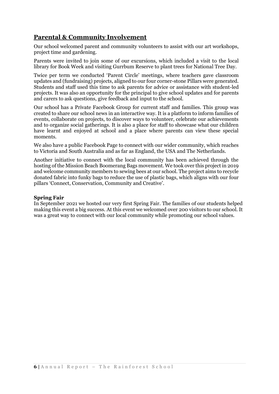# **Parental & Community Involvement**

Our school welcomed parent and community volunteers to assist with our art workshops, project time and gardening.

Parents were invited to join some of our excursions, which included a visit to the local library for Book Week and visiting Gurrbum Reserve to plant trees for National Tree Day.

Twice per term we conducted 'Parent Circle' meetings, where teachers gave classroom updates and (fundraising) projects, aligned to our four corner-stone Pillars were generated. Students and staff used this time to ask parents for advice or assistance with student-led projects. It was also an opportunity for the principal to give school updates and for parents and carers to ask questions, give feedback and input to the school.

Our school has a Private Facebook Group for current staff and families. This group was created to share our school news in an interactive way. It is a platform to inform families of events, collaborate on projects, to discover ways to volunteer, celebrate our achievements and to organize social gatherings. It is also a place for staff to showcase what our children have learnt and enjoyed at school and a place where parents can view these special moments.

We also have a public Facebook Page to connect with our wider community, which reaches to Victoria and South Australia and as far as England, the USA and The Netherlands.

Another initiative to connect with the local community has been achieved through the hosting of the Mission Beach Boomerang Bags movement. We took over this project in 2019 and welcome community members to sewing bees at our school. The project aims to recycle donated fabric into funky bags to reduce the use of plastic bags, which aligns with our four pillars 'Connect, Conservation, Community and Creative'.

## **Spring Fair**

In September 2021 we hosted our very first Spring Fair. The families of our students helped making this event a big success. At this event we welcomed over 200 visitors to our school. It was a great way to connect with our local community while promoting our school values.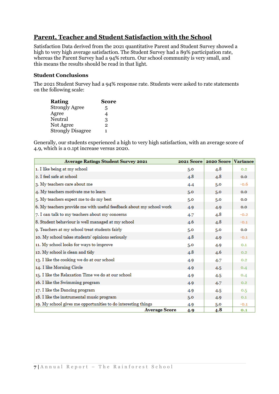# **Parent, Teacher and Student Satisfaction with the School**

Satisfaction Data derived from the 2021 quantitative Parent and Student Survey showed a high to very high average satisfaction. The Student Survey had a 89% participation rate, whereas the Parent Survey had a 94% return. Our school community is very small, and this means the results should be read in that light.

# **Student Conclusions**

The 2021 Student Survey had a 94% response rate. Students were asked to rate statements on the following scale:

| <b>Score</b>   |
|----------------|
| 5              |
| 4              |
| 3              |
| $\overline{2}$ |
| 1              |
|                |

Generally, our students experienced a high to very high satisfaction, with an average score of 4.9, which is a 0.1pt increase versus 2020.

| <b>Average Ratings Student Survey 2021</b>                          | 2021 Score | 2020 Score Variance |        |
|---------------------------------------------------------------------|------------|---------------------|--------|
| 1. I like being at my school                                        | 5.0        | 4.8                 | 0.2    |
| 2. I feel safe at school                                            | 4.8        | 4.8                 | 0.0    |
| 3. My teachers care about me                                        | 4.4        | 5.0                 | $-0.6$ |
| 4. My teachers motivate me to learn                                 | 5.0        | 5.0                 | 0.0    |
| 5. My teachers expect me to do my best                              | 5.0        | 5.0                 | 0.0    |
| 6. My teachers provide me with useful feedback about my school work | 4.9        | 4.9                 | 0.0    |
| 7. I can talk to my teachers about my concerns                      | 4.7        | 4.8                 | $-0.2$ |
| 8. Student behaviour is well managed at my school                   | 4.6        | 4.8                 | $-0.1$ |
| 9. Teachers at my school treat students fairly                      | 5.0        | 5.0                 | 0.0    |
| 10. My school takes students' opinions seriously                    | 4.8        | 4.9                 | $-0.1$ |
| 11. My school looks for ways to improve                             | 5.0        | 4.9                 | 0.1    |
| 12. My school is clean and tidy                                     | 4.8        | 4.6                 | 0.2    |
| 13. I like the cooking we do at our school                          | 4.9        | 4.7                 | 0.2    |
| 14. I like Morning Circle                                           | 4.9        | 4.5                 | 0.4    |
| 15. I like the Relaxation Time we do at our school                  | 4.9        | 4.5                 | 0.4    |
| 16. I like the Swimming program                                     | 4.9        | 4.7                 | 0.2    |
| 17. I like the Dancing program                                      | 4.9        | 4.5                 | 0.5    |
| 18. I like the instrumental music program                           | 5.0        | 4.9                 | 0.1    |
| 19. My school gives me opportunities to do interesting things       | 4.9        | 5.0                 | $-0.1$ |
| <b>Average Score</b>                                                | 4.9        | 4.8                 | 0.1    |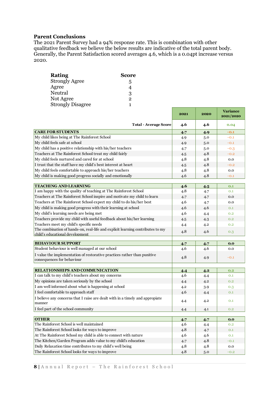## **Parent Conclusions**

The 2021 Parent Survey had a 94% response rate. This is combination with other qualitative feedback we believe the below results are indicative of the total parent body. Generally, the Parent Satisfaction scored averages 4.6, which is a 0.04pt increase versus 2020.

| <b>Rating</b>            | Score        |
|--------------------------|--------------|
| <b>Strongly Agree</b>    | 5            |
| Agree                    | 4            |
| Neutral                  | 3            |
| Not Agree                | $\mathbf{2}$ |
| <b>Strongly Disagree</b> | 1            |

| <b>Total - Average Score</b><br>4.6<br>4.6<br>0.04<br><b>CARE FOR STUDENTS</b><br>4.7<br>4.9<br>$-0.1$<br>My child likes being at The Rainforest School<br>5.0<br>4.9<br>$-0.1$<br>My child feels safe at school<br>4.9<br>5.0<br>$-0.1$<br>My child has a positive relationship with his/her teachers<br>5.0<br>4.7<br>$-0.3$<br>Teachers at The Rainforest School treat my child fairly<br>4.8<br>4.5<br>$-0.2$<br>My child feels nurtured and cared for at school<br>4.8<br>4.8<br>0.0<br>I trust that the staff have my child's best interest at heart<br>4.8<br>4.5<br>$-0.2$<br>My child feels comfortable to approach his/her teachers<br>4.8<br>4.8<br>0.0<br>My child is making good progress socially and emotionally<br>4.6<br>4.8<br>$-0.1$<br><b>TEACHING AND LEARNING</b><br>4.6<br>4.5<br>0.1<br>I am happy with the quality of teaching at The Rainforest School<br>4.8<br>4.7<br>0.1<br>Teachers at The Rainforest School inspire and motivate my child to learn<br>4.7<br>4.7<br>0.0<br>Teachers at The Rainforest School expect my child to do his/her best<br>4.6<br>4.7<br>0.0<br>My child is making good progress with their learning at school<br>4.6<br>4.6<br>0.1<br>My child's learning needs are being met<br>4.6<br>4.4<br>0.2<br>Teachers provide my child with useful feedback about his/her learning<br>4.5<br>4.3<br>0.2<br>Teachers meet my child's specific needs<br>4.4<br>4.2<br>0.2<br>The combination of hands-on, real-life and explicit learning contributes to my<br>4.8<br>4.6<br>0.3<br>child's educational development<br><b>BEHAVIOUR SUPPORT</b><br>4.7<br>0.0<br>4.7<br>Student behaviour is well managed at our school<br>4.6<br>4.6<br>0.0<br>I value the implementation of restorative practices rather than punitive<br>4.8<br>4.9<br>$-0.1$<br>consequences for behaviour<br>RELATIONSHIPS AND COMMUNICATION<br>4.4<br>4.2<br>0.2<br>I can talk to my child's teachers about my concerns<br>4.6<br>4.4<br>0.1<br>My opinions are taken seriously by the school<br>4.4<br>4.2<br>0.2<br>I am well informed about what is happening at school<br>4.2<br>3.9<br>0.3<br>I feel comfortable to approach staff<br>4.6<br>0.1<br>4.4<br>I believe any concerns that I raise are dealt with in a timely and appropiate<br>0.1<br>4.4<br>4.2<br>manner<br>I feel part of the school community<br>4.1<br>0.2<br>4.4<br><b>OTHER</b><br>0.0<br>4.7<br>4.7<br>The Rainforest School is well maintained<br>4.6<br>0.2<br>4.4<br>The Rainforest School looks for ways to improve<br>4.8<br>4.7<br>0.1<br>At The Rainforest School my child is able to connect with nature<br>4.6<br>4.6<br>0.1<br>The Kitchen/Garden Program adds value to my child's education<br>4.8<br>4.7<br>$-0.1$<br>Daily Relaxation time contributes to my child's well being<br>4.8<br>4.8<br>0.0 |                                                 | 2021 | 2020 | <b>Variance</b><br>2021/2020 |
|------------------------------------------------------------------------------------------------------------------------------------------------------------------------------------------------------------------------------------------------------------------------------------------------------------------------------------------------------------------------------------------------------------------------------------------------------------------------------------------------------------------------------------------------------------------------------------------------------------------------------------------------------------------------------------------------------------------------------------------------------------------------------------------------------------------------------------------------------------------------------------------------------------------------------------------------------------------------------------------------------------------------------------------------------------------------------------------------------------------------------------------------------------------------------------------------------------------------------------------------------------------------------------------------------------------------------------------------------------------------------------------------------------------------------------------------------------------------------------------------------------------------------------------------------------------------------------------------------------------------------------------------------------------------------------------------------------------------------------------------------------------------------------------------------------------------------------------------------------------------------------------------------------------------------------------------------------------------------------------------------------------------------------------------------------------------------------------------------------------------------------------------------------------------------------------------------------------------------------------------------------------------------------------------------------------------------------------------------------------------------------------------------------------------------------------------------------------------------------------------------------------------------------------------------------------------------------------------------------------------------------------------------------------------------------------------------------------------------------------------------------------------------------------------------------------|-------------------------------------------------|------|------|------------------------------|
|                                                                                                                                                                                                                                                                                                                                                                                                                                                                                                                                                                                                                                                                                                                                                                                                                                                                                                                                                                                                                                                                                                                                                                                                                                                                                                                                                                                                                                                                                                                                                                                                                                                                                                                                                                                                                                                                                                                                                                                                                                                                                                                                                                                                                                                                                                                                                                                                                                                                                                                                                                                                                                                                                                                                                                                                                  |                                                 |      |      |                              |
|                                                                                                                                                                                                                                                                                                                                                                                                                                                                                                                                                                                                                                                                                                                                                                                                                                                                                                                                                                                                                                                                                                                                                                                                                                                                                                                                                                                                                                                                                                                                                                                                                                                                                                                                                                                                                                                                                                                                                                                                                                                                                                                                                                                                                                                                                                                                                                                                                                                                                                                                                                                                                                                                                                                                                                                                                  |                                                 |      |      |                              |
|                                                                                                                                                                                                                                                                                                                                                                                                                                                                                                                                                                                                                                                                                                                                                                                                                                                                                                                                                                                                                                                                                                                                                                                                                                                                                                                                                                                                                                                                                                                                                                                                                                                                                                                                                                                                                                                                                                                                                                                                                                                                                                                                                                                                                                                                                                                                                                                                                                                                                                                                                                                                                                                                                                                                                                                                                  |                                                 |      |      |                              |
|                                                                                                                                                                                                                                                                                                                                                                                                                                                                                                                                                                                                                                                                                                                                                                                                                                                                                                                                                                                                                                                                                                                                                                                                                                                                                                                                                                                                                                                                                                                                                                                                                                                                                                                                                                                                                                                                                                                                                                                                                                                                                                                                                                                                                                                                                                                                                                                                                                                                                                                                                                                                                                                                                                                                                                                                                  |                                                 |      |      |                              |
|                                                                                                                                                                                                                                                                                                                                                                                                                                                                                                                                                                                                                                                                                                                                                                                                                                                                                                                                                                                                                                                                                                                                                                                                                                                                                                                                                                                                                                                                                                                                                                                                                                                                                                                                                                                                                                                                                                                                                                                                                                                                                                                                                                                                                                                                                                                                                                                                                                                                                                                                                                                                                                                                                                                                                                                                                  |                                                 |      |      |                              |
|                                                                                                                                                                                                                                                                                                                                                                                                                                                                                                                                                                                                                                                                                                                                                                                                                                                                                                                                                                                                                                                                                                                                                                                                                                                                                                                                                                                                                                                                                                                                                                                                                                                                                                                                                                                                                                                                                                                                                                                                                                                                                                                                                                                                                                                                                                                                                                                                                                                                                                                                                                                                                                                                                                                                                                                                                  |                                                 |      |      |                              |
|                                                                                                                                                                                                                                                                                                                                                                                                                                                                                                                                                                                                                                                                                                                                                                                                                                                                                                                                                                                                                                                                                                                                                                                                                                                                                                                                                                                                                                                                                                                                                                                                                                                                                                                                                                                                                                                                                                                                                                                                                                                                                                                                                                                                                                                                                                                                                                                                                                                                                                                                                                                                                                                                                                                                                                                                                  |                                                 |      |      |                              |
|                                                                                                                                                                                                                                                                                                                                                                                                                                                                                                                                                                                                                                                                                                                                                                                                                                                                                                                                                                                                                                                                                                                                                                                                                                                                                                                                                                                                                                                                                                                                                                                                                                                                                                                                                                                                                                                                                                                                                                                                                                                                                                                                                                                                                                                                                                                                                                                                                                                                                                                                                                                                                                                                                                                                                                                                                  |                                                 |      |      |                              |
|                                                                                                                                                                                                                                                                                                                                                                                                                                                                                                                                                                                                                                                                                                                                                                                                                                                                                                                                                                                                                                                                                                                                                                                                                                                                                                                                                                                                                                                                                                                                                                                                                                                                                                                                                                                                                                                                                                                                                                                                                                                                                                                                                                                                                                                                                                                                                                                                                                                                                                                                                                                                                                                                                                                                                                                                                  |                                                 |      |      |                              |
|                                                                                                                                                                                                                                                                                                                                                                                                                                                                                                                                                                                                                                                                                                                                                                                                                                                                                                                                                                                                                                                                                                                                                                                                                                                                                                                                                                                                                                                                                                                                                                                                                                                                                                                                                                                                                                                                                                                                                                                                                                                                                                                                                                                                                                                                                                                                                                                                                                                                                                                                                                                                                                                                                                                                                                                                                  |                                                 |      |      |                              |
|                                                                                                                                                                                                                                                                                                                                                                                                                                                                                                                                                                                                                                                                                                                                                                                                                                                                                                                                                                                                                                                                                                                                                                                                                                                                                                                                                                                                                                                                                                                                                                                                                                                                                                                                                                                                                                                                                                                                                                                                                                                                                                                                                                                                                                                                                                                                                                                                                                                                                                                                                                                                                                                                                                                                                                                                                  |                                                 |      |      |                              |
|                                                                                                                                                                                                                                                                                                                                                                                                                                                                                                                                                                                                                                                                                                                                                                                                                                                                                                                                                                                                                                                                                                                                                                                                                                                                                                                                                                                                                                                                                                                                                                                                                                                                                                                                                                                                                                                                                                                                                                                                                                                                                                                                                                                                                                                                                                                                                                                                                                                                                                                                                                                                                                                                                                                                                                                                                  |                                                 |      |      |                              |
|                                                                                                                                                                                                                                                                                                                                                                                                                                                                                                                                                                                                                                                                                                                                                                                                                                                                                                                                                                                                                                                                                                                                                                                                                                                                                                                                                                                                                                                                                                                                                                                                                                                                                                                                                                                                                                                                                                                                                                                                                                                                                                                                                                                                                                                                                                                                                                                                                                                                                                                                                                                                                                                                                                                                                                                                                  |                                                 |      |      |                              |
|                                                                                                                                                                                                                                                                                                                                                                                                                                                                                                                                                                                                                                                                                                                                                                                                                                                                                                                                                                                                                                                                                                                                                                                                                                                                                                                                                                                                                                                                                                                                                                                                                                                                                                                                                                                                                                                                                                                                                                                                                                                                                                                                                                                                                                                                                                                                                                                                                                                                                                                                                                                                                                                                                                                                                                                                                  |                                                 |      |      |                              |
|                                                                                                                                                                                                                                                                                                                                                                                                                                                                                                                                                                                                                                                                                                                                                                                                                                                                                                                                                                                                                                                                                                                                                                                                                                                                                                                                                                                                                                                                                                                                                                                                                                                                                                                                                                                                                                                                                                                                                                                                                                                                                                                                                                                                                                                                                                                                                                                                                                                                                                                                                                                                                                                                                                                                                                                                                  |                                                 |      |      |                              |
|                                                                                                                                                                                                                                                                                                                                                                                                                                                                                                                                                                                                                                                                                                                                                                                                                                                                                                                                                                                                                                                                                                                                                                                                                                                                                                                                                                                                                                                                                                                                                                                                                                                                                                                                                                                                                                                                                                                                                                                                                                                                                                                                                                                                                                                                                                                                                                                                                                                                                                                                                                                                                                                                                                                                                                                                                  |                                                 |      |      |                              |
|                                                                                                                                                                                                                                                                                                                                                                                                                                                                                                                                                                                                                                                                                                                                                                                                                                                                                                                                                                                                                                                                                                                                                                                                                                                                                                                                                                                                                                                                                                                                                                                                                                                                                                                                                                                                                                                                                                                                                                                                                                                                                                                                                                                                                                                                                                                                                                                                                                                                                                                                                                                                                                                                                                                                                                                                                  |                                                 |      |      |                              |
|                                                                                                                                                                                                                                                                                                                                                                                                                                                                                                                                                                                                                                                                                                                                                                                                                                                                                                                                                                                                                                                                                                                                                                                                                                                                                                                                                                                                                                                                                                                                                                                                                                                                                                                                                                                                                                                                                                                                                                                                                                                                                                                                                                                                                                                                                                                                                                                                                                                                                                                                                                                                                                                                                                                                                                                                                  |                                                 |      |      |                              |
|                                                                                                                                                                                                                                                                                                                                                                                                                                                                                                                                                                                                                                                                                                                                                                                                                                                                                                                                                                                                                                                                                                                                                                                                                                                                                                                                                                                                                                                                                                                                                                                                                                                                                                                                                                                                                                                                                                                                                                                                                                                                                                                                                                                                                                                                                                                                                                                                                                                                                                                                                                                                                                                                                                                                                                                                                  |                                                 |      |      |                              |
|                                                                                                                                                                                                                                                                                                                                                                                                                                                                                                                                                                                                                                                                                                                                                                                                                                                                                                                                                                                                                                                                                                                                                                                                                                                                                                                                                                                                                                                                                                                                                                                                                                                                                                                                                                                                                                                                                                                                                                                                                                                                                                                                                                                                                                                                                                                                                                                                                                                                                                                                                                                                                                                                                                                                                                                                                  |                                                 |      |      |                              |
|                                                                                                                                                                                                                                                                                                                                                                                                                                                                                                                                                                                                                                                                                                                                                                                                                                                                                                                                                                                                                                                                                                                                                                                                                                                                                                                                                                                                                                                                                                                                                                                                                                                                                                                                                                                                                                                                                                                                                                                                                                                                                                                                                                                                                                                                                                                                                                                                                                                                                                                                                                                                                                                                                                                                                                                                                  |                                                 |      |      |                              |
|                                                                                                                                                                                                                                                                                                                                                                                                                                                                                                                                                                                                                                                                                                                                                                                                                                                                                                                                                                                                                                                                                                                                                                                                                                                                                                                                                                                                                                                                                                                                                                                                                                                                                                                                                                                                                                                                                                                                                                                                                                                                                                                                                                                                                                                                                                                                                                                                                                                                                                                                                                                                                                                                                                                                                                                                                  |                                                 |      |      |                              |
|                                                                                                                                                                                                                                                                                                                                                                                                                                                                                                                                                                                                                                                                                                                                                                                                                                                                                                                                                                                                                                                                                                                                                                                                                                                                                                                                                                                                                                                                                                                                                                                                                                                                                                                                                                                                                                                                                                                                                                                                                                                                                                                                                                                                                                                                                                                                                                                                                                                                                                                                                                                                                                                                                                                                                                                                                  |                                                 |      |      |                              |
|                                                                                                                                                                                                                                                                                                                                                                                                                                                                                                                                                                                                                                                                                                                                                                                                                                                                                                                                                                                                                                                                                                                                                                                                                                                                                                                                                                                                                                                                                                                                                                                                                                                                                                                                                                                                                                                                                                                                                                                                                                                                                                                                                                                                                                                                                                                                                                                                                                                                                                                                                                                                                                                                                                                                                                                                                  |                                                 |      |      |                              |
|                                                                                                                                                                                                                                                                                                                                                                                                                                                                                                                                                                                                                                                                                                                                                                                                                                                                                                                                                                                                                                                                                                                                                                                                                                                                                                                                                                                                                                                                                                                                                                                                                                                                                                                                                                                                                                                                                                                                                                                                                                                                                                                                                                                                                                                                                                                                                                                                                                                                                                                                                                                                                                                                                                                                                                                                                  |                                                 |      |      |                              |
|                                                                                                                                                                                                                                                                                                                                                                                                                                                                                                                                                                                                                                                                                                                                                                                                                                                                                                                                                                                                                                                                                                                                                                                                                                                                                                                                                                                                                                                                                                                                                                                                                                                                                                                                                                                                                                                                                                                                                                                                                                                                                                                                                                                                                                                                                                                                                                                                                                                                                                                                                                                                                                                                                                                                                                                                                  |                                                 |      |      |                              |
|                                                                                                                                                                                                                                                                                                                                                                                                                                                                                                                                                                                                                                                                                                                                                                                                                                                                                                                                                                                                                                                                                                                                                                                                                                                                                                                                                                                                                                                                                                                                                                                                                                                                                                                                                                                                                                                                                                                                                                                                                                                                                                                                                                                                                                                                                                                                                                                                                                                                                                                                                                                                                                                                                                                                                                                                                  |                                                 |      |      |                              |
|                                                                                                                                                                                                                                                                                                                                                                                                                                                                                                                                                                                                                                                                                                                                                                                                                                                                                                                                                                                                                                                                                                                                                                                                                                                                                                                                                                                                                                                                                                                                                                                                                                                                                                                                                                                                                                                                                                                                                                                                                                                                                                                                                                                                                                                                                                                                                                                                                                                                                                                                                                                                                                                                                                                                                                                                                  |                                                 |      |      |                              |
|                                                                                                                                                                                                                                                                                                                                                                                                                                                                                                                                                                                                                                                                                                                                                                                                                                                                                                                                                                                                                                                                                                                                                                                                                                                                                                                                                                                                                                                                                                                                                                                                                                                                                                                                                                                                                                                                                                                                                                                                                                                                                                                                                                                                                                                                                                                                                                                                                                                                                                                                                                                                                                                                                                                                                                                                                  |                                                 |      |      |                              |
|                                                                                                                                                                                                                                                                                                                                                                                                                                                                                                                                                                                                                                                                                                                                                                                                                                                                                                                                                                                                                                                                                                                                                                                                                                                                                                                                                                                                                                                                                                                                                                                                                                                                                                                                                                                                                                                                                                                                                                                                                                                                                                                                                                                                                                                                                                                                                                                                                                                                                                                                                                                                                                                                                                                                                                                                                  |                                                 |      |      |                              |
|                                                                                                                                                                                                                                                                                                                                                                                                                                                                                                                                                                                                                                                                                                                                                                                                                                                                                                                                                                                                                                                                                                                                                                                                                                                                                                                                                                                                                                                                                                                                                                                                                                                                                                                                                                                                                                                                                                                                                                                                                                                                                                                                                                                                                                                                                                                                                                                                                                                                                                                                                                                                                                                                                                                                                                                                                  |                                                 |      |      |                              |
|                                                                                                                                                                                                                                                                                                                                                                                                                                                                                                                                                                                                                                                                                                                                                                                                                                                                                                                                                                                                                                                                                                                                                                                                                                                                                                                                                                                                                                                                                                                                                                                                                                                                                                                                                                                                                                                                                                                                                                                                                                                                                                                                                                                                                                                                                                                                                                                                                                                                                                                                                                                                                                                                                                                                                                                                                  |                                                 |      |      |                              |
|                                                                                                                                                                                                                                                                                                                                                                                                                                                                                                                                                                                                                                                                                                                                                                                                                                                                                                                                                                                                                                                                                                                                                                                                                                                                                                                                                                                                                                                                                                                                                                                                                                                                                                                                                                                                                                                                                                                                                                                                                                                                                                                                                                                                                                                                                                                                                                                                                                                                                                                                                                                                                                                                                                                                                                                                                  |                                                 |      |      |                              |
|                                                                                                                                                                                                                                                                                                                                                                                                                                                                                                                                                                                                                                                                                                                                                                                                                                                                                                                                                                                                                                                                                                                                                                                                                                                                                                                                                                                                                                                                                                                                                                                                                                                                                                                                                                                                                                                                                                                                                                                                                                                                                                                                                                                                                                                                                                                                                                                                                                                                                                                                                                                                                                                                                                                                                                                                                  |                                                 |      |      |                              |
|                                                                                                                                                                                                                                                                                                                                                                                                                                                                                                                                                                                                                                                                                                                                                                                                                                                                                                                                                                                                                                                                                                                                                                                                                                                                                                                                                                                                                                                                                                                                                                                                                                                                                                                                                                                                                                                                                                                                                                                                                                                                                                                                                                                                                                                                                                                                                                                                                                                                                                                                                                                                                                                                                                                                                                                                                  |                                                 |      |      |                              |
|                                                                                                                                                                                                                                                                                                                                                                                                                                                                                                                                                                                                                                                                                                                                                                                                                                                                                                                                                                                                                                                                                                                                                                                                                                                                                                                                                                                                                                                                                                                                                                                                                                                                                                                                                                                                                                                                                                                                                                                                                                                                                                                                                                                                                                                                                                                                                                                                                                                                                                                                                                                                                                                                                                                                                                                                                  |                                                 |      |      |                              |
|                                                                                                                                                                                                                                                                                                                                                                                                                                                                                                                                                                                                                                                                                                                                                                                                                                                                                                                                                                                                                                                                                                                                                                                                                                                                                                                                                                                                                                                                                                                                                                                                                                                                                                                                                                                                                                                                                                                                                                                                                                                                                                                                                                                                                                                                                                                                                                                                                                                                                                                                                                                                                                                                                                                                                                                                                  |                                                 |      |      |                              |
|                                                                                                                                                                                                                                                                                                                                                                                                                                                                                                                                                                                                                                                                                                                                                                                                                                                                                                                                                                                                                                                                                                                                                                                                                                                                                                                                                                                                                                                                                                                                                                                                                                                                                                                                                                                                                                                                                                                                                                                                                                                                                                                                                                                                                                                                                                                                                                                                                                                                                                                                                                                                                                                                                                                                                                                                                  |                                                 |      |      |                              |
|                                                                                                                                                                                                                                                                                                                                                                                                                                                                                                                                                                                                                                                                                                                                                                                                                                                                                                                                                                                                                                                                                                                                                                                                                                                                                                                                                                                                                                                                                                                                                                                                                                                                                                                                                                                                                                                                                                                                                                                                                                                                                                                                                                                                                                                                                                                                                                                                                                                                                                                                                                                                                                                                                                                                                                                                                  | The Rainforest School looks for ways to improve | 4.8  | 5.0  | $-0.2$                       |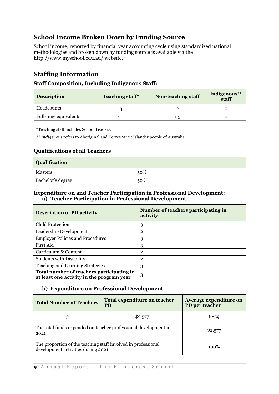# **School Income Broken Down by Funding Source**

School income, reported by financial year accounting cycle using standardized national methodologies and broken down by funding source is available via the <http://www.myschool.edu.au/> website.

# **Staffing Information**

# **Staff Composition, Including Indigenous Staff:**

| <b>Description</b>    | <b>Teaching staff*</b> | <b>Non-teaching staff</b> | Indigenous**<br>staff |
|-----------------------|------------------------|---------------------------|-----------------------|
| Headcounts            |                        |                           |                       |
| Full-time equivalents | $2.1\,$                | 1.5                       |                       |

\*Teaching staff includes School Leaders.

\*\* *Indigenous* refers to Aboriginal and Torres Strait Islander people of Australia.

# **Qualifications of all Teachers**

| <b>Qualification</b> |        |
|----------------------|--------|
| Masters              | 50%    |
| Bachelor's degree    | $50\%$ |

## **Expenditure on and Teacher Participation in Professional Development: a) Teacher Participation in Professional Development**

| <b>Description of PD activity</b>                                                      | Number of teachers participating in<br>activity |
|----------------------------------------------------------------------------------------|-------------------------------------------------|
| Child Protection                                                                       | 3                                               |
| Leadership Development                                                                 | 2                                               |
| <b>Employer Policies and Procedures</b>                                                | 3                                               |
| First Aid                                                                              | 3                                               |
| Curriculum & Content                                                                   | 2                                               |
| <b>Students with Disability</b>                                                        | 2                                               |
| Teaching and Learning Strategies                                                       | 3                                               |
| Total number of teachers participating in<br>at least one activity in the program year | 3                                               |

## **b) Expenditure on Professional Development**

| <b>Total Number of Teachers</b>                                                                     | Total expenditure on teacher<br><b>PD</b> |         |
|-----------------------------------------------------------------------------------------------------|-------------------------------------------|---------|
| 3                                                                                                   | \$2,577                                   | \$859   |
| The total funds expended on teacher professional development in<br>2021                             |                                           | \$2,577 |
| The proportion of the teaching staff involved in professional<br>development activities during 2021 |                                           | 100%    |